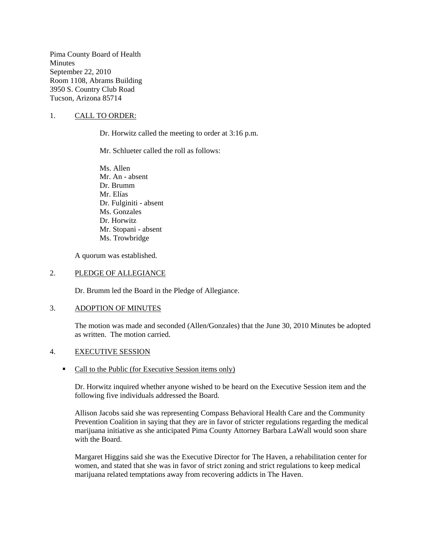Pima County Board of Health **Minutes** September 22, 2010 Room 1108, Abrams Building 3950 S. Country Club Road Tucson, Arizona 85714

# 1. CALL TO ORDER:

Dr. Horwitz called the meeting to order at 3:16 p.m.

Mr. Schlueter called the roll as follows:

Ms. Allen Mr. An - absent Dr. Brumm Mr. Elías Dr. Fulginiti - absent Ms. Gonzales Dr. Horwitz Mr. Stopani - absent Ms. Trowbridge

A quorum was established.

### 2. PLEDGE OF ALLEGIANCE

Dr. Brumm led the Board in the Pledge of Allegiance.

### 3. ADOPTION OF MINUTES

The motion was made and seconded (Allen/Gonzales) that the June 30, 2010 Minutes be adopted as written. The motion carried.

#### 4. EXECUTIVE SESSION

### • Call to the Public (for Executive Session items only)

Dr. Horwitz inquired whether anyone wished to be heard on the Executive Session item and the following five individuals addressed the Board.

Allison Jacobs said she was representing Compass Behavioral Health Care and the Community Prevention Coalition in saying that they are in favor of stricter regulations regarding the medical marijuana initiative as she anticipated Pima County Attorney Barbara LaWall would soon share with the Board.

Margaret Higgins said she was the Executive Director for The Haven, a rehabilitation center for women, and stated that she was in favor of strict zoning and strict regulations to keep medical marijuana related temptations away from recovering addicts in The Haven.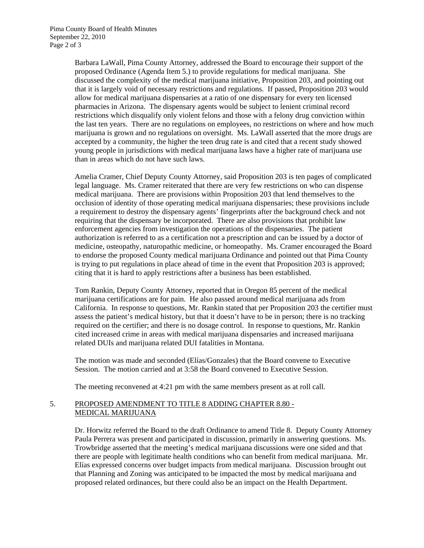Barbara LaWall, Pima County Attorney, addressed the Board to encourage their support of the proposed Ordinance (Agenda Item 5.) to provide regulations for medical marijuana. She discussed the complexity of the medical marijuana initiative, Proposition 203, and pointing out that it is largely void of necessary restrictions and regulations. If passed, Proposition 203 would allow for medical marijuana dispensaries at a ratio of one dispensary for every ten licensed pharmacies in Arizona. The dispensary agents would be subject to lenient criminal record restrictions which disqualify only violent felons and those with a felony drug conviction within the last ten years. There are no regulations on employees, no restrictions on where and how much marijuana is grown and no regulations on oversight. Ms. LaWall asserted that the more drugs are accepted by a community, the higher the teen drug rate is and cited that a recent study showed young people in jurisdictions with medical marijuana laws have a higher rate of marijuana use than in areas which do not have such laws.

Amelia Cramer, Chief Deputy County Attorney, said Proposition 203 is ten pages of complicated legal language. Ms. Cramer reiterated that there are very few restrictions on who can dispense medical marijuana. There are provisions within Proposition 203 that lend themselves to the occlusion of identity of those operating medical marijuana dispensaries; these provisions include a requirement to destroy the dispensary agents' fingerprints after the background check and not requiring that the dispensary be incorporated. There are also provisions that prohibit law enforcement agencies from investigation the operations of the dispensaries. The patient authorization is referred to as a certification not a prescription and can be issued by a doctor of medicine, osteopathy, naturopathic medicine, or homeopathy. Ms. Cramer encouraged the Board to endorse the proposed County medical marijuana Ordinance and pointed out that Pima County is trying to put regulations in place ahead of time in the event that Proposition 203 is approved; citing that it is hard to apply restrictions after a business has been established.

Tom Rankin, Deputy County Attorney, reported that in Oregon 85 percent of the medical marijuana certifications are for pain. He also passed around medical marijuana ads from California. In response to questions, Mr. Rankin stated that per Proposition 203 the certifier must assess the patient's medical history, but that it doesn't have to be in person; there is no tracking required on the certifier; and there is no dosage control. In response to questions, Mr. Rankin cited increased crime in areas with medical marijuana dispensaries and increased marijuana related DUIs and marijuana related DUI fatalities in Montana.

The motion was made and seconded (Elías/Gonzales) that the Board convene to Executive Session. The motion carried and at 3:58 the Board convened to Executive Session.

The meeting reconvened at 4:21 pm with the same members present as at roll call.

# 5. PROPOSED AMENDMENT TO TITLE 8 ADDING CHAPTER 8.80 - MEDICAL MARIJUANA

Dr. Horwitz referred the Board to the draft Ordinance to amend Title 8. Deputy County Attorney Paula Perrera was present and participated in discussion, primarily in answering questions. Ms. Trowbridge asserted that the meeting's medical marijuana discussions were one sided and that there are people with legitimate health conditions who can benefit from medical marijuana. Mr. Elías expressed concerns over budget impacts from medical marijuana. Discussion brought out that Planning and Zoning was anticipated to be impacted the most by medical marijuana and proposed related ordinances, but there could also be an impact on the Health Department.